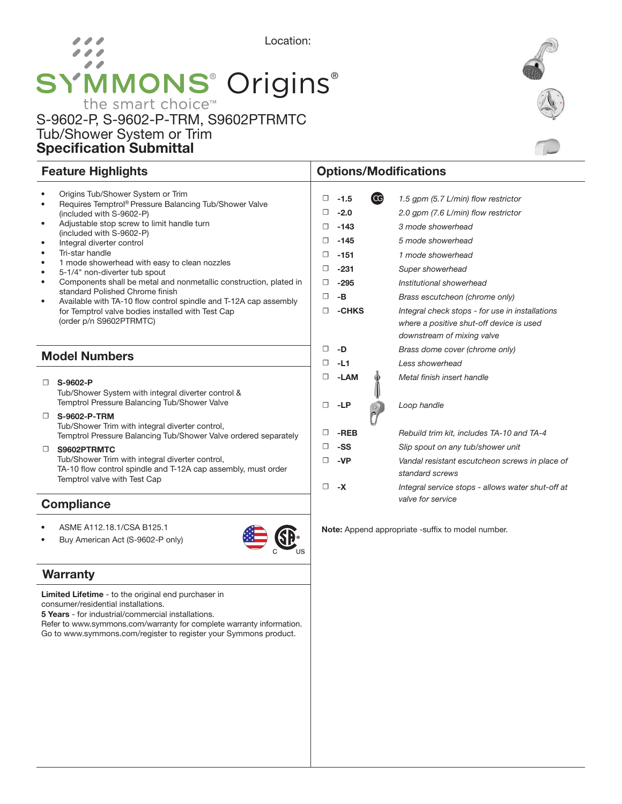# Location: 11 SYMMONS<sup>®</sup> Origins<sup>®</sup>

### S-9602-P, S-9602-P-TRM, S9602PTRMTC Tub/Shower System or Trim Specification Submittal

### Feature Highlights **Contract Contract Contract Contract Contract Contract Contract Contract Contract Contract Contract Contract Contract Contract Contract Contract Contract Contract Contract Contract Contract Contract Cont**

| ٠                    | Origins Tub/Shower System or Trim<br>Requires Temptrol® Pressure Balancing Tub/Shower Valve                                        | □      | $-1.5$ | (CG) | 1.5 qpm (5.7 L/min) flow restrictor                                                                                       |
|----------------------|------------------------------------------------------------------------------------------------------------------------------------|--------|--------|------|---------------------------------------------------------------------------------------------------------------------------|
|                      | (included with S-9602-P)                                                                                                           | □      | $-2.0$ |      | 2.0 gpm (7.6 L/min) flow restrictor                                                                                       |
| ٠                    | Adjustable stop screw to limit handle turn                                                                                         | □      | $-143$ |      | 3 mode showerhead                                                                                                         |
| $\bullet$            | (included with S-9602-P)<br>Integral diverter control                                                                              | □      | $-145$ |      | 5 mode showerhead                                                                                                         |
| ٠                    | Tri-star handle                                                                                                                    | □      | $-151$ |      | 1 mode showerhead                                                                                                         |
| $\bullet$<br>٠       | 1 mode showerhead with easy to clean nozzles<br>5-1/4" non-diverter tub spout                                                      | □      | $-231$ |      | Super showerhead                                                                                                          |
| ٠                    | Components shall be metal and nonmetallic construction, plated in                                                                  | □      | $-295$ |      | Institutional showerhead                                                                                                  |
| ٠                    | standard Polished Chrome finish<br>Available with TA-10 flow control spindle and T-12A cap assembly                                | □      | $-B$   |      | Brass escutcheon (chrome only)                                                                                            |
|                      | for Temptrol valve bodies installed with Test Cap<br>(order p/n S9602PTRMTC)                                                       | □      | -CHKS  |      | Integral check stops - for use in installations<br>where a positive shut-off device is used<br>downstream of mixing valve |
| <b>Model Numbers</b> |                                                                                                                                    | □      | -D     |      | Brass dome cover (chrome only)                                                                                            |
|                      |                                                                                                                                    | □      | $-L1$  |      | Less showerhead                                                                                                           |
| □                    | S-9602-P                                                                                                                           | □      | -LAM   |      | Metal finish insert handle                                                                                                |
|                      | Tub/Shower System with integral diverter control &<br>Temptrol Pressure Balancing Tub/Shower Valve                                 | □      | $-LP$  |      | Loop handle                                                                                                               |
| $\Box$               | S-9602-P-TRM<br>Tub/Shower Trim with integral diverter control,<br>Temptrol Pressure Balancing Tub/Shower Valve ordered separately |        | -REB   |      | Rebuild trim kit, includes TA-10 and TA-4                                                                                 |
| $\Box$               | S9602PTRMTC                                                                                                                        | □      | -SS    |      | Slip spout on any tub/shower unit                                                                                         |
|                      | Tub/Shower Trim with integral diverter control,<br>TA-10 flow control spindle and T-12A cap assembly, must order                   | п      | -VP    |      | Vandal resistant escutcheon screws in place of<br>standard screws                                                         |
|                      | Temptrol valve with Test Cap                                                                                                       | $\Box$ | -X     |      | Integral service stops - allows water shut-off at                                                                         |
|                      | <b>Camplianae</b>                                                                                                                  |        |        |      | valve for service                                                                                                         |

**SE** 

**Compliance** 

- ASME A112.18.1/CSA B125.1
- Buy American Act (S-9602-P only)

#### **Warranty**

Limited Lifetime - to the original end purchaser in consumer/residential installations.

5 Years - for industrial/commercial installations.

Refer to www.symmons.com/warranty for complete warranty information. Go to www.symmons.com/register to register your Symmons product.



## Note: Append appropriate -suffix to model number.

### $Mc$

| – ∪ | -LAIVI | <u>METAL III IISH II ISBN HANGE</u>            |
|-----|--------|------------------------------------------------|
| □   | -LP    | Loop handle                                    |
| 0   | -REB   | Rebuild trim kit, includes TA-10 and TA-4      |
| □   | -SS    | Slip spout on any tub/shower unit              |
| □   | -VP    | Vandal resistant escutcheon screws in place of |
|     |        | standard screws                                |
|     |        |                                                |

*valve for service*